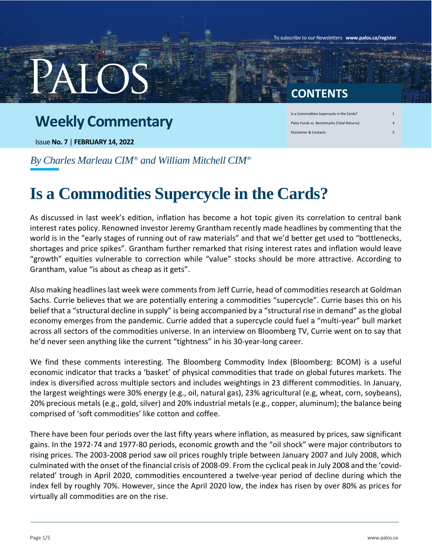## **Weekly Commentary**

Issue **No. 7** | **FEBRUARY 14, 2022**

### **CONTENTS**

To subscribe to our Newsletters **www.palos.ca/register**

| Is a Commodities Supercycle in the Cards?  |   |
|--------------------------------------------|---|
| Palos Funds vs. Benchmarks (Total Returns) |   |
| Disclaimer & Contacts                      | с |

*By Charles Marleau CIM® and William Mitchell CIM®*

# **Is a Commodities Supercycle in the Cards?**

As discussed in last week's edition, inflation has become a hot topic given its correlation to central bank interest rates policy. Renowned investor Jeremy Grantham recently made headlines by commenting that the world is in the "early stages of running out of raw materials" and that we'd better get used to "bottlenecks, shortages and price spikes". Grantham further remarked that rising interest rates and inflation would leave "growth" equities vulnerable to correction while "value" stocks should be more attractive. According to Grantham, value "is about as cheap as it gets".

Also making headlines last week were comments from Jeff Currie, head of commodities research at Goldman Sachs. Currie believes that we are potentially entering a commodities "supercycle". Currie bases this on his belief that a "structural decline in supply" is being accompanied by a "structural rise in demand" as the global economy emerges from the pandemic. Currie added that a supercycle could fuel a "multi-year" bull market across all sectors of the commodities universe. In an interview on Bloomberg TV, Currie went on to say that he'd never seen anything like the current "tightness" in his 30-year-long career.

We find these comments interesting. The Bloomberg Commodity Index (Bloomberg: BCOM) is a useful economic indicator that tracks a 'basket' of physical commodities that trade on global futures markets. The index is diversified across multiple sectors and includes weightings in 23 different commodities. In January, the largest weightings were 30% energy (e.g., oil, natural gas), 23% agricultural (e.g, wheat, corn, soybeans), 20% precious metals (e.g., gold, silver) and 20% industrial metals (e.g., copper, aluminum); the balance being comprised of 'soft commodities' like cotton and coffee.

There have been four periods over the last fifty years where inflation, as measured by prices, saw significant gains. In the 1972-74 and 1977-80 periods, economic growth and the "oil shock" were major contributors to rising prices. The 2003-2008 period saw oil prices roughly triple between January 2007 and July 2008, which culminated with the onset of the financial crisis of 2008-09. From the cyclical peak in July 2008 and the 'covidrelated' trough in April 2020, commodities encountered a twelve-year period of decline during which the index fell by roughly 70%. However, since the April 2020 low, the index has risen by over 80% as prices for virtually all commodities are on the rise.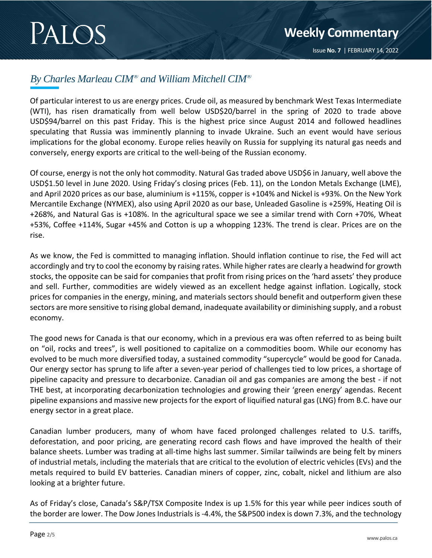$\frac{1}{2}$ 

#### *By Charles Marleau CIM® and William Mitchell CIM®*

Of particular interest to us are energy prices. Crude oil, as measured by benchmark West Texas Intermediate (WTI), has risen dramatically from well below USD\$20/barrel in the spring of 2020 to trade above USD\$94/barrel on this past Friday. This is the highest price since August 2014 and followed headlines speculating that Russia was imminently planning to invade Ukraine. Such an event would have serious implications for the global economy. Europe relies heavily on Russia for supplying its natural gas needs and conversely, energy exports are critical to the well-being of the Russian economy.

Of course, energy is not the only hot commodity. Natural Gas traded above USD\$6 in January, well above the USD\$1.50 level in June 2020. Using Friday's closing prices (Feb. 11), on the London Metals Exchange (LME), and April 2020 prices as our base, aluminium is +115%, copper is +104% and Nickel is +93%. On the New York Mercantile Exchange (NYMEX), also using April 2020 as our base, Unleaded Gasoline is +259%, Heating Oil is +268%, and Natural Gas is +108%. In the agricultural space we see a similar trend with Corn +70%, Wheat +53%, Coffee +114%, Sugar +45% and Cotton is up a whopping 123%. The trend is clear. Prices are on the rise.

As we know, the Fed is committed to managing inflation. Should inflation continue to rise, the Fed will act accordingly and try to cool the economy by raising rates. While higher rates are clearly a headwind for growth stocks, the opposite can be said for companies that profit from rising prices on the 'hard assets' they produce and sell. Further, commodities are widely viewed as an excellent hedge against inflation. Logically, stock prices for companies in the energy, mining, and materials sectors should benefit and outperform given these sectors are more sensitive to rising global demand, inadequate availability or diminishing supply, and a robust economy.

The good news for Canada is that our economy, which in a previous era was often referred to as being built on "oil, rocks and trees", is well positioned to capitalize on a commodities boom. While our economy has evolved to be much more diversified today, a sustained commodity "supercycle" would be good for Canada. Our energy sector has sprung to life after a seven-year period of challenges tied to low prices, a shortage of pipeline capacity and pressure to decarbonize. Canadian oil and gas companies are among the best - if not THE best, at incorporating decarbonization technologies and growing their 'green energy' agendas. Recent pipeline expansions and massive new projects for the export of liquified natural gas (LNG) from B.C. have our energy sector in a great place.

Canadian lumber producers, many of whom have faced prolonged challenges related to U.S. tariffs, deforestation, and poor pricing, are generating record cash flows and have improved the health of their balance sheets. Lumber was trading at all-time highs last summer. Similar tailwinds are being felt by miners of industrial metals, including the materials that are critical to the evolution of electric vehicles (EVs) and the metals required to build EV batteries. Canadian miners of copper, zinc, cobalt, nickel and lithium are also looking at a brighter future.

As of Friday's close, Canada's S&P/TSX Composite Index is up 1.5% for this year while peer indices south of the border are lower. The Dow Jones Industrials is -4.4%, the S&P500 index is down 7.3%, and the technology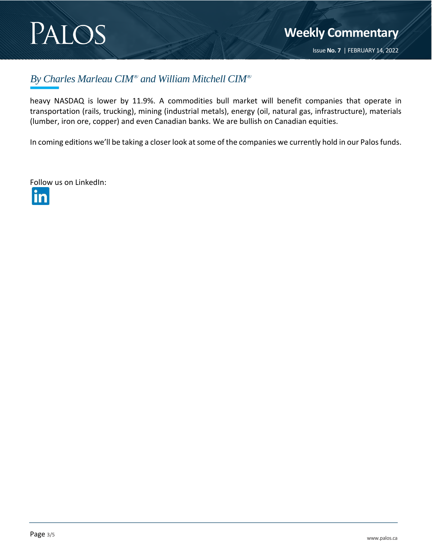# PALOS

 $\frac{1}{2}$ 

#### *By Charles Marleau CIM® and William Mitchell CIM®*

heavy NASDAQ is lower by 11.9%. A commodities bull market will benefit companies that operate in transportation (rails, trucking), mining (industrial metals), energy (oil, natural gas, infrastructure), materials (lumber, iron ore, copper) and even Canadian banks. We are bullish on Canadian equities.

In coming editions we'll be taking a closer look at some of the companies we currently hold in our Palos funds.

Follow us on LinkedIn:

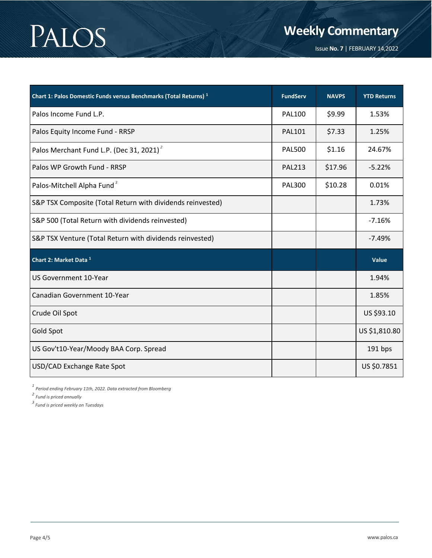# PALOS

**Weekly Commentary**

Issue **No. 7** | FEBRUARY 14,2022

2019

| Chart 1: Palos Domestic Funds versus Benchmarks (Total Returns) <sup>1</sup> | <b>FundServ</b> | <b>NAVPS</b> | <b>YTD Returns</b> |
|------------------------------------------------------------------------------|-----------------|--------------|--------------------|
| Palos Income Fund L.P.                                                       | <b>PAL100</b>   | \$9.99       | 1.53%              |
| Palos Equity Income Fund - RRSP                                              | <b>PAL101</b>   | \$7.33       | 1.25%              |
| Palos Merchant Fund L.P. (Dec 31, 2021) <sup>2</sup>                         | <b>PAL500</b>   | \$1.16       | 24.67%             |
| Palos WP Growth Fund - RRSP                                                  | <b>PAL213</b>   | \$17.96      | $-5.22%$           |
| Palos-Mitchell Alpha Fund <sup>3</sup>                                       | <b>PAL300</b>   | \$10.28      | 0.01%              |
| S&P TSX Composite (Total Return with dividends reinvested)                   |                 |              | 1.73%              |
| S&P 500 (Total Return with dividends reinvested)                             |                 |              | $-7.16%$           |
| S&P TSX Venture (Total Return with dividends reinvested)                     |                 |              | $-7.49%$           |
| Chart 2: Market Data 1                                                       |                 |              | Value              |
| <b>US Government 10-Year</b>                                                 |                 |              | 1.94%              |
| Canadian Government 10-Year                                                  |                 |              | 1.85%              |
| Crude Oil Spot                                                               |                 |              | US \$93.10         |
| Gold Spot                                                                    |                 |              | US \$1,810.80      |
| US Gov't10-Year/Moody BAA Corp. Spread                                       |                 |              | 191 bps            |
| USD/CAD Exchange Rate Spot                                                   |                 |              | US \$0.7851        |

*1 Period ending February 11th, 2022. Data extracted from Bloomberg*

*2 Fund is priced annually*

*3 Fund is priced weekly on Tuesdays*